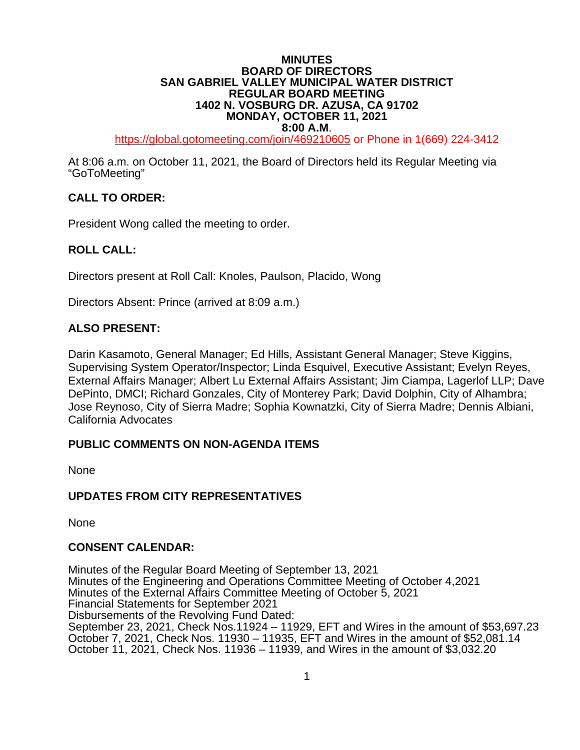#### **MINUTES BOARD OF DIRECTORS SAN GABRIEL VALLEY MUNICIPAL WATER DISTRICT REGULAR BOARD MEETING 1402 N. VOSBURG DR. AZUSA, CA 91702 MONDAY, OCTOBER 11, 2021**

**8:00 A.M.**<br>[https://global.gotomeeting.com/join/4](https://global.gotomeeting.com/join/6)69210605 or Phone in 1(669) 224-3412

At 8:06 a.m. on October 11, 2021, the Board of Directors held its Regular Meeting via "GoToMeeting"

### **CALL TO ORDER:**

President Wong called the meeting to order.

#### **ROLL CALL:**

Directors present at Roll Call: Knoles, Paulson, Placido, Wong

Directors Absent: Prince (arrived at 8:09 a.m.)

#### **ALSO PRESENT:**

Darin Kasamoto, General Manager; Ed Hills, Assistant General Manager; Steve Kiggins, Supervising System Operator/Inspector; Linda Esquivel, Executive Assistant; Evelyn Reyes, External Affairs Manager; Albert Lu External Affairs Assistant; Jim Ciampa, Lagerlof LLP; Dave DePinto, DMCI; Richard Gonzales, City of Monterey Park; David Dolphin, City of Alhambra; Jose Reynoso, City of Sierra Madre; Sophia Kownatzki, City of Sierra Madre; Dennis Albiani, California Advocates

#### **PUBLIC COMMENTS ON NON-AGENDA ITEMS**

None

#### **UPDATES FROM CITY REPRESENTATIVES**

None

#### **CONSENT CALENDAR:**

Minutes of the Regular Board Meeting of September 13, 2021 Minutes of the Engineering and Operations Committee Meeting of October 4,2021 Minutes of the External Affairs Committee Meeting of October 5, 2021 Financial Statements for September 2021 Disbursements of the Revolving Fund Dated: September 23, 2021, Check Nos.11924 – 11929, EFT and Wires in the amount of \$53,697.23 October 7, 2021, Check Nos. 11930 – 11935, EFT and Wires in the amount of \$52,081.14 October 11, 2021, Check Nos. 11936 – 11939, and Wires in the amount of \$3,032.20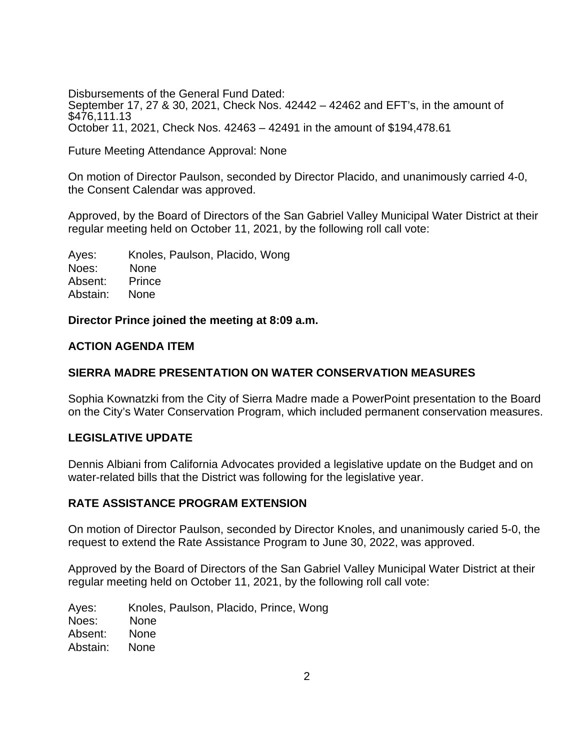Disbursements of the General Fund Dated: September 17, 27 & 30, 2021, Check Nos. 42442 – 42462 and EFT's, in the amount of \$476,111.13 October 11, 2021, Check Nos. 42463 – 42491 in the amount of \$194,478.61

Future Meeting Attendance Approval: None

On motion of Director Paulson, seconded by Director Placido, and unanimously carried 4-0, the Consent Calendar was approved.

Approved, by the Board of Directors of the San Gabriel Valley Municipal Water District at their regular meeting held on October 11, 2021, by the following roll call vote:

Ayes: Knoles, Paulson, Placido, Wong Noes: None Absent: Prince Abstain: None

**Director Prince joined the meeting at 8:09 a.m.**

### **ACTION AGENDA ITEM**

#### **SIERRA MADRE PRESENTATION ON WATER CONSERVATION MEASURES**

Sophia Kownatzki from the City of Sierra Madre made a PowerPoint presentation to the Board on the City's Water Conservation Program, which included permanent conservation measures.

### **LEGISLATIVE UPDATE**

Dennis Albiani from California Advocates provided a legislative update on the Budget and on water-related bills that the District was following for the legislative year.

#### **RATE ASSISTANCE PROGRAM EXTENSION**

On motion of Director Paulson, seconded by Director Knoles, and unanimously caried 5-0, the request to extend the Rate Assistance Program to June 30, 2022, was approved.

Approved by the Board of Directors of the San Gabriel Valley Municipal Water District at their regular meeting held on October 11, 2021, by the following roll call vote:

Ayes: Knoles, Paulson, Placido, Prince, Wong Noes: None Absent: None Abstain: None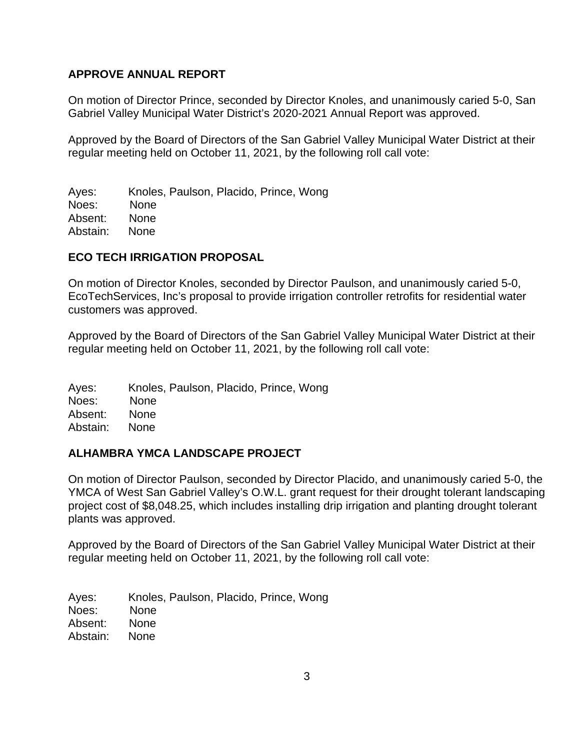### **APPROVE ANNUAL REPORT**

On motion of Director Prince, seconded by Director Knoles, and unanimously caried 5-0, San Gabriel Valley Municipal Water District's 2020-2021 Annual Report was approved.

Approved by the Board of Directors of the San Gabriel Valley Municipal Water District at their regular meeting held on October 11, 2021, by the following roll call vote:

Ayes: Knoles, Paulson, Placido, Prince, Wong Noes: None Absent: None Abstain: None

#### **ECO TECH IRRIGATION PROPOSAL**

On motion of Director Knoles, seconded by Director Paulson, and unanimously caried 5-0, EcoTechServices, Inc's proposal to provide irrigation controller retrofits for residential water customers was approved.

Approved by the Board of Directors of the San Gabriel Valley Municipal Water District at their regular meeting held on October 11, 2021, by the following roll call vote:

Ayes: Knoles, Paulson, Placido, Prince, Wong Noes: None Absent: None Abstain: None

### **ALHAMBRA YMCA LANDSCAPE PROJECT**

On motion of Director Paulson, seconded by Director Placido, and unanimously caried 5-0, the YMCA of West San Gabriel Valley's O.W.L. grant request for their drought tolerant landscaping project cost of \$8,048.25, which includes installing drip irrigation and planting drought tolerant plants was approved.

Approved by the Board of Directors of the San Gabriel Valley Municipal Water District at their regular meeting held on October 11, 2021, by the following roll call vote:

Ayes: Knoles, Paulson, Placido, Prince, Wong Noes: None Absent: None Abstain: None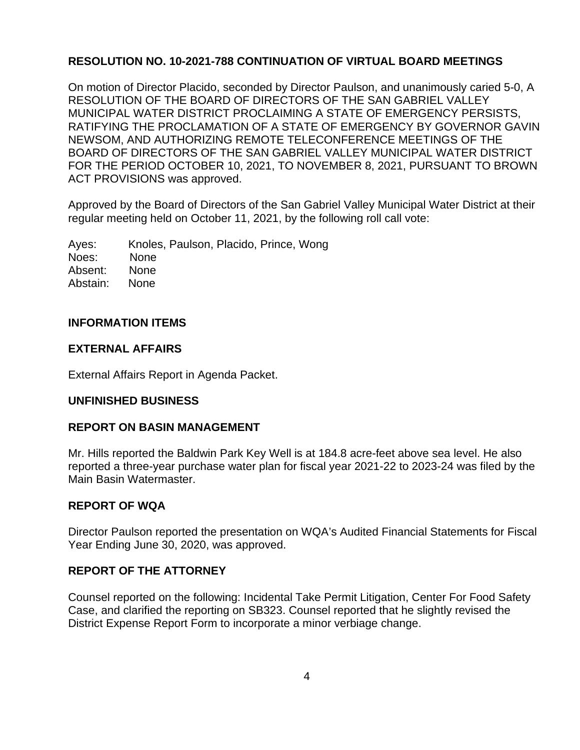## **RESOLUTION NO. 10-2021-788 CONTINUATION OF VIRTUAL BOARD MEETINGS**

On motion of Director Placido, seconded by Director Paulson, and unanimously caried 5-0, A RESOLUTION OF THE BOARD OF DIRECTORS OF THE SAN GABRIEL VALLEY MUNICIPAL WATER DISTRICT PROCLAIMING A STATE OF EMERGENCY PERSISTS, RATIFYING THE PROCLAMATION OF A STATE OF EMERGENCY BY GOVERNOR GAVIN NEWSOM, AND AUTHORIZING REMOTE TELECONFERENCE MEETINGS OF THE BOARD OF DIRECTORS OF THE SAN GABRIEL VALLEY MUNICIPAL WATER DISTRICT FOR THE PERIOD OCTOBER 10, 2021, TO NOVEMBER 8, 2021, PURSUANT TO BROWN ACT PROVISIONS was approved.

Approved by the Board of Directors of the San Gabriel Valley Municipal Water District at their regular meeting held on October 11, 2021, by the following roll call vote:

Ayes: Knoles, Paulson, Placido, Prince, Wong Noes: None Absent: None Abstain: None

### **INFORMATION ITEMS**

### **EXTERNAL AFFAIRS**

External Affairs Report in Agenda Packet.

### **UNFINISHED BUSINESS**

### **REPORT ON BASIN MANAGEMENT**

Mr. Hills reported the Baldwin Park Key Well is at 184.8 acre-feet above sea level. He also reported a three-year purchase water plan for fiscal year 2021-22 to 2023-24 was filed by the Main Basin Watermaster.

### **REPORT OF WQA**

Director Paulson reported the presentation on WQA's Audited Financial Statements for Fiscal Year Ending June 30, 2020, was approved.

### **REPORT OF THE ATTORNEY**

Counsel reported on the following: Incidental Take Permit Litigation, Center For Food Safety Case, and clarified the reporting on SB323. Counsel reported that he slightly revised the District Expense Report Form to incorporate a minor verbiage change.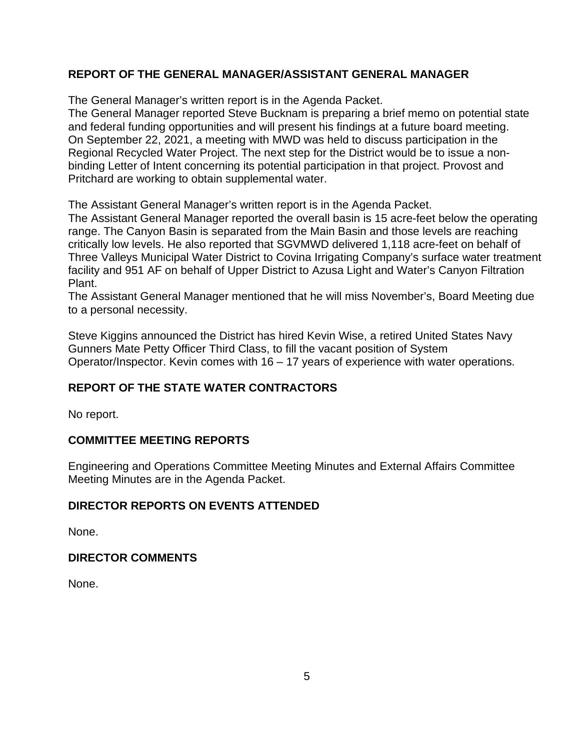# **REPORT OF THE GENERAL MANAGER/ASSISTANT GENERAL MANAGER**

The General Manager's written report is in the Agenda Packet.

The General Manager reported Steve Bucknam is preparing a brief memo on potential state and federal funding opportunities and will present his findings at a future board meeting. On September 22, 2021, a meeting with MWD was held to discuss participation in the Regional Recycled Water Project. The next step for the District would be to issue a nonbinding Letter of Intent concerning its potential participation in that project. Provost and Pritchard are working to obtain supplemental water.

The Assistant General Manager's written report is in the Agenda Packet.

The Assistant General Manager reported the overall basin is 15 acre-feet below the operating range. The Canyon Basin is separated from the Main Basin and those levels are reaching critically low levels. He also reported that SGVMWD delivered 1,118 acre-feet on behalf of Three Valleys Municipal Water District to Covina Irrigating Company's surface water treatment facility and 951 AF on behalf of Upper District to Azusa Light and Water's Canyon Filtration Plant.

The Assistant General Manager mentioned that he will miss November's, Board Meeting due to a personal necessity.

Steve Kiggins announced the District has hired Kevin Wise, a retired United States Navy Gunners Mate Petty Officer Third Class, to fill the vacant position of System Operator/Inspector. Kevin comes with 16 – 17 years of experience with water operations.

# **REPORT OF THE STATE WATER CONTRACTORS**

No report.

### **COMMITTEE MEETING REPORTS**

Engineering and Operations Committee Meeting Minutes and External Affairs Committee Meeting Minutes are in the Agenda Packet.

### **DIRECTOR REPORTS ON EVENTS ATTENDED**

None.

### **DIRECTOR COMMENTS**

None.